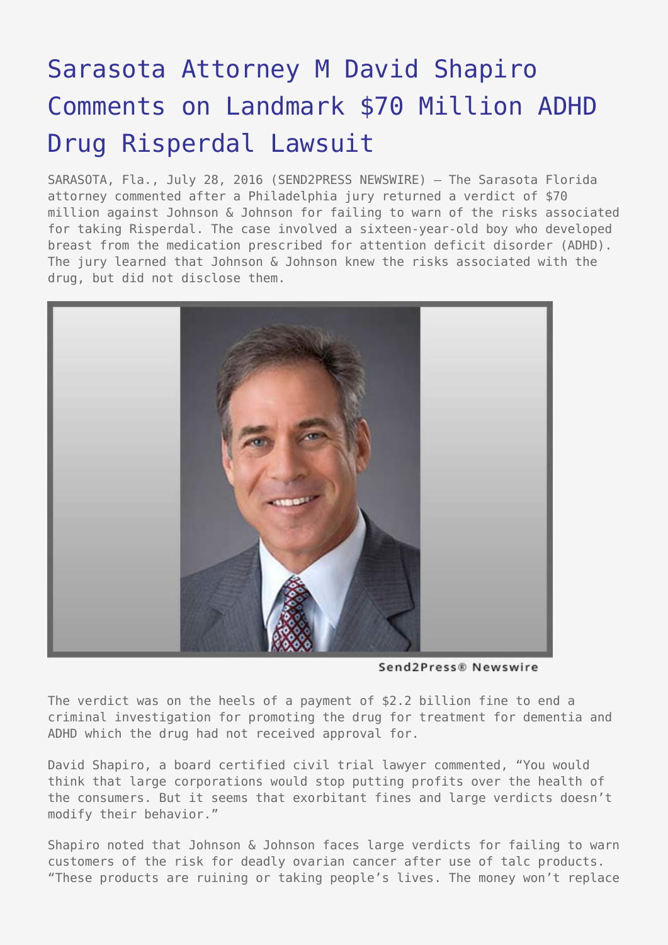## [Sarasota Attorney M David Shapiro](https://www.send2press.com/wire/sarasota-attorney-m-david-shapiro-comments-on-landmark-70-million-dollar-adhd-drug-risperdal-lawsuit/) [Comments on Landmark \\$70 Million ADHD](https://www.send2press.com/wire/sarasota-attorney-m-david-shapiro-comments-on-landmark-70-million-dollar-adhd-drug-risperdal-lawsuit/) [Drug Risperdal Lawsuit](https://www.send2press.com/wire/sarasota-attorney-m-david-shapiro-comments-on-landmark-70-million-dollar-adhd-drug-risperdal-lawsuit/)

SARASOTA, Fla., July 28, 2016 (SEND2PRESS NEWSWIRE) — The Sarasota Florida attorney commented after a Philadelphia jury returned a verdict of \$70 million against Johnson & Johnson for failing to warn of the risks associated for taking Risperdal. The case involved a sixteen-year-old boy who developed breast from the medication prescribed for attention deficit disorder (ADHD). The jury learned that Johnson & Johnson knew the risks associated with the drug, but did not disclose them.



Send2Press® Newswire

The verdict was on the heels of a payment of \$2.2 billion fine to end a criminal investigation for promoting the drug for treatment for dementia and ADHD which the drug had not received approval for.

David Shapiro, a board certified civil trial lawyer commented, "You would think that large corporations would stop putting profits over the health of the consumers. But it seems that exorbitant fines and large verdicts doesn't modify their behavior."

Shapiro noted that Johnson & Johnson faces large verdicts for failing to warn customers of the risk for deadly ovarian cancer after use of talc products. "These products are ruining or taking people's lives. The money won't replace